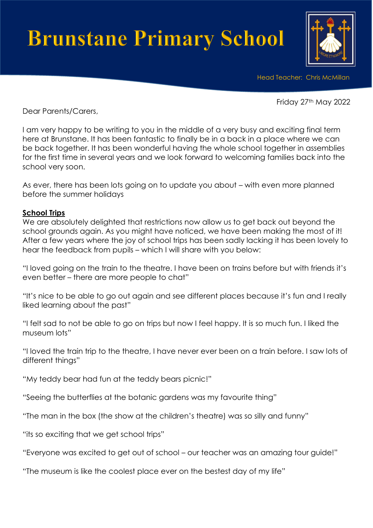# **Brunstane Primary School**



Head Teacher: Chris McMillan

Friday 27th May 2022

Dear Parents/Carers,

I am very happy to be writing to you in the middle of a very busy and exciting final term here at Brunstane. It has been fantastic to finally be in a back in a place where we can be back together. It has been wonderful having the whole school together in assemblies for the first time in several years and we look forward to welcoming families back into the school very soon.

As ever, there has been lots going on to update you about – with even more planned before the summer holidays

#### **School Trips**

We are absolutely delighted that restrictions now allow us to get back out beyond the school grounds again. As you might have noticed, we have been making the most of it! After a few years where the joy of school trips has been sadly lacking it has been lovely to hear the feedback from pupils – which I will share with you below:

"I loved going on the train to the theatre. I have been on trains before but with friends it's even better – there are more people to chat"

"It's nice to be able to go out again and see different places because it's fun and I really liked learning about the past"

"I felt sad to not be able to go on trips but now I feel happy. It is so much fun. I liked the museum lots"

"I loved the train trip to the theatre, I have never ever been on a train before. I saw lots of different things"

"My teddy bear had fun at the teddy bears picnic!"

"Seeing the butterflies at the botanic gardens was my favourite thing"

"The man in the box (the show at the children's theatre) was so silly and funny"

"its so exciting that we get school trips"

"Everyone was excited to get out of school – our teacher was an amazing tour guide!"

"The museum is like the coolest place ever on the bestest day of my life"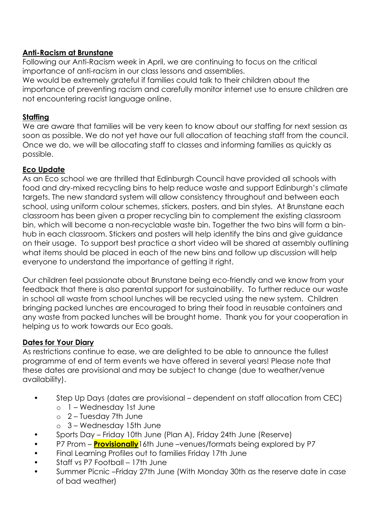# **Anti-Racism at Brunstane**

Following our Anti-Racism week in April, we are continuing to focus on the critical importance of anti-racism in our class lessons and assemblies.

We would be extremely grateful if families could talk to their children about the importance of preventing racism and carefully monitor internet use to ensure children are not encountering racist language online.

### **Staffing**

We are aware that families will be very keen to know about our staffing for next session as soon as possible. We do not yet have our full allocation of teaching staff from the council. Once we do, we will be allocating staff to classes and informing families as quickly as possible.

# **Eco Update**

As an Eco school we are thrilled that Edinburgh Council have provided all schools with food and dry-mixed recycling bins to help reduce waste and support Edinburgh's climate targets. The new standard system will allow consistency throughout and between each school, using uniform colour schemes, stickers, posters, and bin styles. At Brunstane each classroom has been given a proper recycling bin to complement the existing classroom bin, which will become a non-recyclable waste bin. Together the two bins will form a binhub in each classroom. Stickers and posters will help identify the bins and give guidance on their usage. To support best practice a short video will be shared at assembly outlining what items should be placed in each of the new bins and follow up discussion will help everyone to understand the importance of getting it right.

Our children feel passionate about Brunstane being eco-friendly and we know from your feedback that there is also parental support for sustainability. To further reduce our waste in school all waste from school lunches will be recycled using the new system. Children bringing packed lunches are encouraged to bring their food in reusable containers and any waste from packed lunches will be brought home. Thank you for your cooperation in helping us to work towards our Eco goals.

# **Dates for Your Diary**

As restrictions continue to ease, we are delighted to be able to announce the fullest programme of end of term events we have offered in several years! Please note that these dates are provisional and may be subject to change (due to weather/venue availability).

- Step Up Days (dates are provisional dependent on staff allocation from CEC)
	- o 1 Wednesday 1st June
	- o 2 Tuesday 7th June
	- $\circ$  3 Wednesday 15th June
- Sports Day Friday 10th June (Plan A), Friday 24th June (Reserve)
- P7 Prom **Provisionally** 16th June –venues/formats being explored by P7
- Final Learning Profiles out to families Friday 17th June
- Staff vs P7 Football 17th June
- Summer Picnic –Friday 27th June (With Monday 30th as the reserve date in case of bad weather)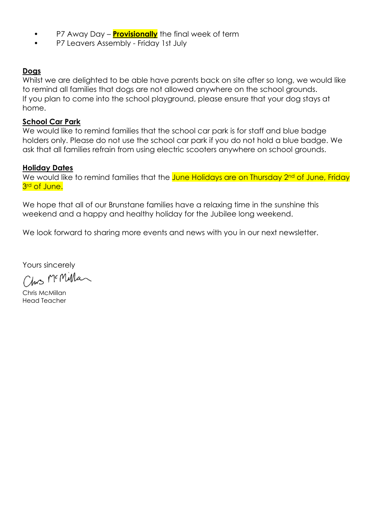- P7 Away Day **Provisionally** the final week of term
- P7 Leavers Assembly Friday 1st July

#### **Dogs**

Whilst we are delighted to be able have parents back on site after so long, we would like to remind all families that dogs are not allowed anywhere on the school grounds. If you plan to come into the school playground, please ensure that your dog stays at home.

#### **School Car Park**

We would like to remind families that the school car park is for staff and blue badge holders only. Please do not use the school car park if you do not hold a blue badge. We ask that all families refrain from using electric scooters anywhere on school grounds.

#### **Holiday Dates**

We would like to remind families that the June Holidays are on Thursday 2<sup>nd</sup> of June, Friday 3<sup>rd</sup> of June.

We hope that all of our Brunstane families have a relaxing time in the sunshine this weekend and a happy and healthy holiday for the Jubilee long weekend.

We look forward to sharing more events and news with you in our next newsletter.

Yours sincerely

Chrs McMillar

Chris McMillan Head Teacher